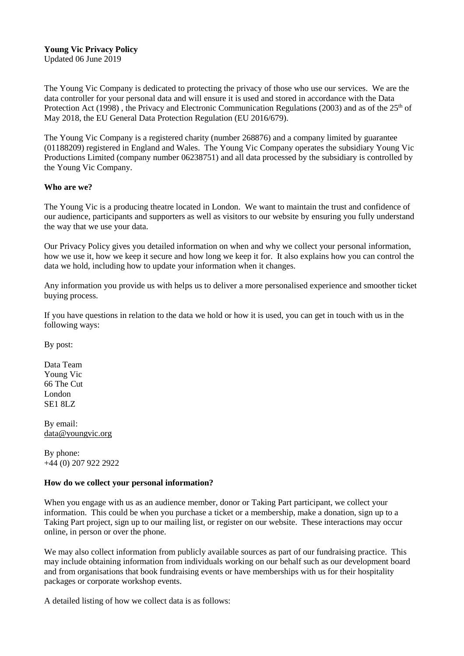## **Young Vic Privacy Policy**

Updated 06 June 2019

The Young Vic Company is dedicated to protecting the privacy of those who use our services. We are the data controller for your personal data and will ensure it is used and stored in accordance with the Data Protection Act (1998), the Privacy and Electronic Communication Regulations (2003) and as of the 25<sup>th</sup> of May 2018, the EU General Data Protection Regulation (EU 2016/679).

The Young Vic Company is a registered charity (number 268876) and a company limited by guarantee (01188209) registered in England and Wales. The Young Vic Company operates the subsidiary Young Vic Productions Limited (company number 06238751) and all data processed by the subsidiary is controlled by the Young Vic Company.

## **Who are we?**

The Young Vic is a producing theatre located in London. We want to maintain the trust and confidence of our audience, participants and supporters as well as visitors to our website by ensuring you fully understand the way that we use your data.

Our Privacy Policy gives you detailed information on when and why we collect your personal information, how we use it, how we keep it secure and how long we keep it for. It also explains how you can control the data we hold, including how to update your information when it changes.

Any information you provide us with helps us to deliver a more personalised experience and smoother ticket buying process.

If you have questions in relation to the data we hold or how it is used, you can get in touch with us in the following ways:

By post:

Data Team Young Vic 66 The Cut London SE1 8LZ

By email: [data@youngvic.org](mailto:data@youngvic.org)

By phone: +44 (0) 207 922 2922

### **How do we collect your personal information?**

When you engage with us as an audience member, donor or Taking Part participant, we collect your information. This could be when you purchase a ticket or a membership, make a donation, sign up to a Taking Part project, sign up to our mailing list, or register on our website. These interactions may occur online, in person or over the phone.

We may also collect information from publicly available sources as part of our fundraising practice. This may include obtaining information from individuals working on our behalf such as our development board and from organisations that book fundraising events or have memberships with us for their hospitality packages or corporate workshop events.

A detailed listing of how we collect data is as follows: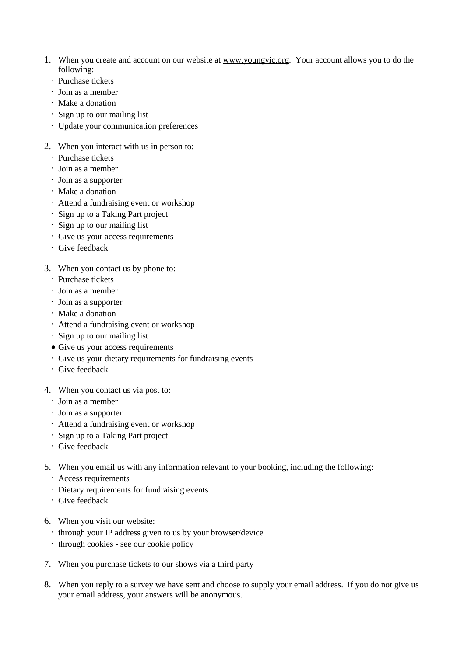- 1. When you create and account on our website at [www.youngvic.org.](http://www.youngvic.org/) Your account allows you to do the following:
	- · Purchase tickets
	- · Join as a member
	- · Make a donation
	- · Sign up to our mailing list
	- · Update your communication preferences
- 2. When you interact with us in person to:
	- · Purchase tickets
	- · Join as a member
	- · Join as a supporter
	- · Make a donation
	- · Attend a fundraising event or workshop
	- · Sign up to a Taking Part project
	- · Sign up to our mailing list
	- · Give us your access requirements
	- · Give feedback
- 3. When you contact us by phone to:
	- · Purchase tickets
	- · Join as a member
	- · Join as a supporter
	- · Make a donation
	- · Attend a fundraising event or workshop
	- · Sign up to our mailing list
	- Give us your access requirements
	- · Give us your dietary requirements for fundraising events
	- · Give feedback
- 4. When you contact us via post to:
	- · Join as a member
	- · Join as a supporter
	- · Attend a fundraising event or workshop
	- · Sign up to a Taking Part project
	- · Give feedback
- 5. When you email us with any information relevant to your booking, including the following:
	- · Access requirements
	- · Dietary requirements for fundraising events
	- · Give feedback
- 6. When you visit our website:
	- · through your IP address given to us by your browser/device
	- · through cookies see our [cookie](https://www.youngvic.org/cookie-policy) policy
- 7. When you purchase tickets to our shows via a third party
- 8. When you reply to a survey we have sent and choose to supply your email address. If you do not give us your email address, your answers will be anonymous.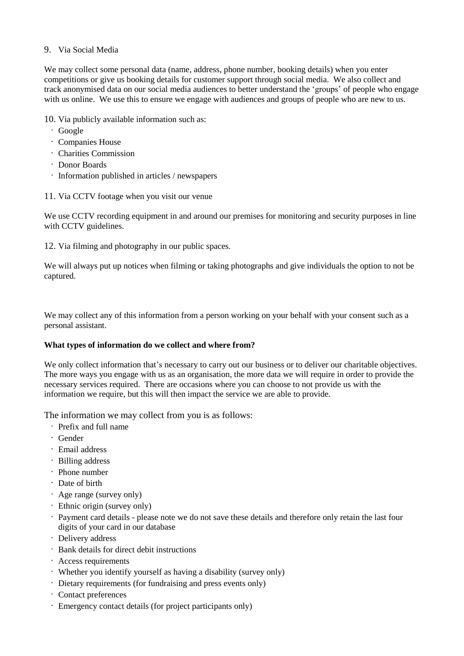## 9. Via Social Media

We may collect some personal data (name, address, phone number, booking details) when you enter competitions or give us booking details for customer support through social media. We also collect and track anonymised data on our social media audiences to better understand the 'groups' of people who engage with us online. We use this to ensure we engage with audiences and groups of people who are new to us.

10. Via publicly available information such as:

- · Google
- · Companies House
- · Charities Commission
- · Donor Boards
- · Information published in articles / newspapers
- 11. Via CCTV footage when you visit our venue

We use CCTV recording equipment in and around our premises for monitoring and security purposes in line with CCTV guidelines.

12. Via filming and photography in our public spaces.

We will always put up notices when filming or taking photographs and give individuals the option to not be captured.

We may collect any of this information from a person working on your behalf with your consent such as a personal assistant.

# **What types of information do we collect and where from?**

We only collect information that's necessary to carry out our business or to deliver our charitable objectives. The more ways you engage with us as an organisation, the more data we will require in order to provide the necessary services required. There are occasions where you can choose to not provide us with the information we require, but this will then impact the service we are able to provide.

The information we may collect from you is as follows:

- · Prefix and full name
- · Gender
- · Email address
- · Billing address
- · Phone number
- · Date of birth
- · Age range (survey only)
- · Ethnic origin (survey only)
- · Payment card details please note we do not save these details and therefore only retain the last four digits of your card in our database
- · Delivery address
- · Bank details for direct debit instructions
- · Access requirements
- · Whether you identify yourself as having a disability (survey only)
- · Dietary requirements (for fundraising and press events only)
- · Contact preferences
- · Emergency contact details (for project participants only)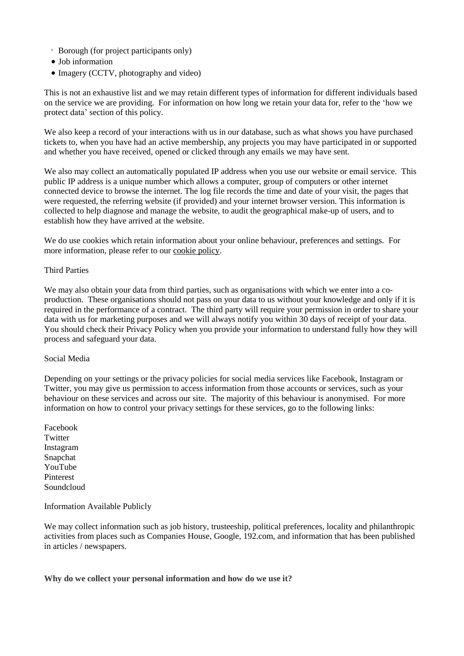- · Borough (for project participants only)
- Job information
- Imagery (CCTV, photography and video)

This is not an exhaustive list and we may retain different types of information for different individuals based on the service we are providing. For information on how long we retain your data for, refer to the 'how we protect data' section of this policy.

We also keep a record of your interactions with us in our database, such as what shows you have purchased tickets to, when you have had an active membership, any projects you may have participated in or supported and whether you have received, opened or clicked through any emails we may have sent.

We also may collect an automatically populated IP address when you use our website or email service. This public IP address is a unique number which allows a computer, group of computers or other internet connected device to browse the internet. The log file records the time and date of your visit, the pages that were requested, the referring website (if provided) and your internet browser version. This information is collected to help diagnose and manage the website, to audit the geographical make-up of users, and to establish how they have arrived at the website.

We do use cookies which retain information about your online behaviour, preferences and settings. For more information, please refer to our cookie [policy.](https://www.youngvic.org/cookie-policy)

### Third Parties

We may also obtain your data from third parties, such as organisations with which we enter into a coproduction. These organisations should not pass on your data to us without your knowledge and only if it is required in the performance of a contract. The third party will require your permission in order to share your data with us for marketing purposes and we will always notify you within 30 days of receipt of your data. You should check their Privacy Policy when you provide your information to understand fully how they will process and safeguard your data.

### Social Media

Depending on your settings or the privacy policies for social media services like Facebook, Instagram or Twitter, you may give us permission to access information from those accounts or services, such as your behaviour on these services and across our site. The majority of this behaviour is anonymised. For more information on how to control your privacy settings for these services, go to the following links:

Facebook **Twitter** Instagram Snapchat YouTube Pinterest Soundcloud

### Information Available Publicly

We may collect information such as job history, trusteeship, political preferences, locality and philanthropic activities from places such as Companies House, Google, 192.com, and information that has been published in articles / newspapers.

**Why do we collect your personal information and how do we use it?**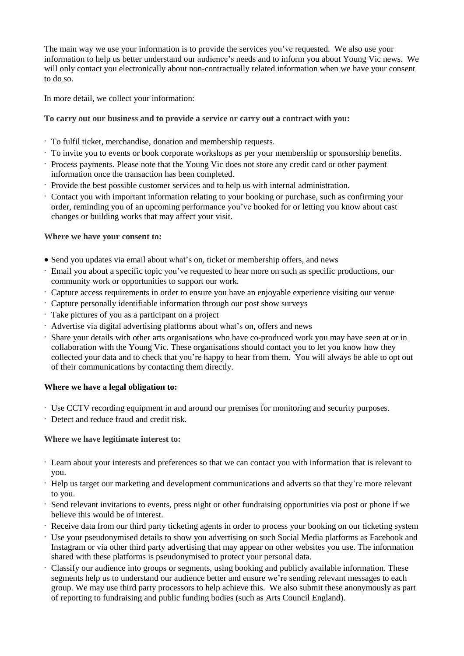The main way we use your information is to provide the services you've requested. We also use your information to help us better understand our audience's needs and to inform you about Young Vic news. We will only contact you electronically about non-contractually related information when we have your consent to do so.

In more detail, we collect your information:

# **To carry out our business and to provide a service or carry out a contract with you:**

- · To fulfil ticket, merchandise, donation and membership requests.
- · To invite you to events or book corporate workshops as per your membership or sponsorship benefits.
- · Process payments. Please note that the Young Vic does not store any credit card or other payment information once the transaction has been completed.
- · Provide the best possible customer services and to help us with internal administration.
- · Contact you with important information relating to your booking or purchase, such as confirming your order, reminding you of an upcoming performance you've booked for or letting you know about cast changes or building works that may affect your visit.

**Where we have your consent to:**

- Send you updates via email about what's on, ticket or membership offers, and news
- · Email you about a specific topic you've requested to hear more on such as specific productions, our community work or opportunities to support our work.
- · Capture access requirements in order to ensure you have an enjoyable experience visiting our venue
- · Capture personally identifiable information through our post show surveys
- · Take pictures of you as a participant on a project
- · Advertise via digital advertising platforms about what's on, offers and news
- · Share your details with other arts organisations who have co-produced work you may have seen at or in collaboration with the Young Vic. These organisations should contact you to let you know how they collected your data and to check that you're happy to hear from them. You will always be able to opt out of their communications by contacting them directly.

# **Where we have a legal obligation to:**

- · Use CCTV recording equipment in and around our premises for monitoring and security purposes.
- · Detect and reduce fraud and credit risk.

# **Where we have legitimate interest to:**

- · Learn about your interests and preferences so that we can contact you with information that is relevant to you.
- · Help us target our marketing and development communications and adverts so that they're more relevant to you.
- · Send relevant invitations to events, press night or other fundraising opportunities via post or phone if we believe this would be of interest.
- · Receive data from our third party ticketing agents in order to process your booking on our ticketing system
- · Use your pseudonymised details to show you advertising on such Social Media platforms as Facebook and Instagram or via other third party advertising that may appear on other websites you use. The information shared with these platforms is pseudonymised to protect your personal data.
- Classify our audience into groups or segments, using booking and publicly available information. These segments help us to understand our audience better and ensure we're sending relevant messages to each group. We may use third party processors to help achieve this. We also submit these anonymously as part of reporting to fundraising and public funding bodies (such as Arts Council England).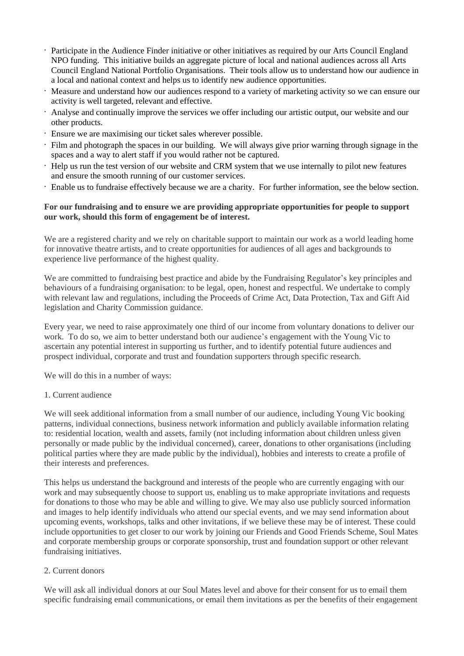- · Participate in the Audience Finder initiative or other initiatives as required by our Arts Council England NPO funding. This initiative builds an aggregate picture of local and national audiences across all Arts Council England National Portfolio Organisations. Their tools allow us to understand how our audience in a local and national context and helps us to identify new audience opportunities.
- Measure and understand how our audiences respond to a variety of marketing activity so we can ensure our activity is well targeted, relevant and effective.
- · Analyse and continually improve the services we offer including our artistic output, our website and our other products.
- · Ensure we are maximising our ticket sales wherever possible.
- · Film and photograph the spaces in our building. We will always give prior warning through signage in the spaces and a way to alert staff if you would rather not be captured.
- · Help us run the test version of our website and CRM system that we use internally to pilot new features and ensure the smooth running of our customer services.
- · Enable us to fundraise effectively because we are a charity. For further information, see the below section.

## **For our fundraising and to ensure we are providing appropriate opportunities for people to support our work, should this form of engagement be of interest.**

We are a registered charity and we rely on charitable support to maintain our work as a world leading home for innovative theatre artists, and to create opportunities for audiences of all ages and backgrounds to experience live performance of the highest quality.

We are committed to fundraising best practice and abide by the Fundraising Regulator's key principles and behaviours of a fundraising organisation: to be legal, open, honest and respectful. We undertake to comply with relevant law and regulations, including the Proceeds of Crime Act, Data Protection, Tax and Gift Aid legislation and Charity Commission guidance.

Every year, we need to raise approximately one third of our income from voluntary donations to deliver our work. To do so, we aim to better understand both our audience's engagement with the Young Vic to ascertain any potential interest in supporting us further, and to identify potential future audiences and prospect individual, corporate and trust and foundation supporters through specific research.

We will do this in a number of ways:

### 1. Current audience

We will seek additional information from a small number of our audience, including Young Vic booking patterns, individual connections, business network information and publicly available information relating to: residential location, wealth and assets, family (not including information about children unless given personally or made public by the individual concerned), career, donations to other organisations (including political parties where they are made public by the individual), hobbies and interests to create a profile of their interests and preferences.

This helps us understand the background and interests of the people who are currently engaging with our work and may subsequently choose to support us, enabling us to make appropriate invitations and requests for donations to those who may be able and willing to give. We may also use publicly sourced information and images to help identify individuals who attend our special events, and we may send information about upcoming events, workshops, talks and other invitations, if we believe these may be of interest. These could include opportunities to get closer to our work by joining our Friends and Good Friends Scheme, Soul Mates and corporate membership groups or corporate sponsorship, trust and foundation support or other relevant fundraising initiatives.

### 2. Current donors

We will ask all individual donors at our Soul Mates level and above for their consent for us to email them specific fundraising email communications, or email them invitations as per the benefits of their engagement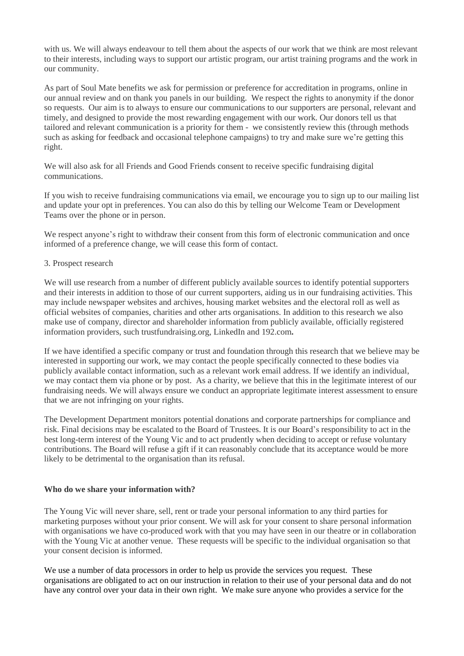with us. We will always endeavour to tell them about the aspects of our work that we think are most relevant to their interests, including ways to support our artistic program, our artist training programs and the work in our community.

As part of Soul Mate benefits we ask for permission or preference for accreditation in programs, online in our annual review and on thank you panels in our building. We respect the rights to anonymity if the donor so requests. Our aim is to always to ensure our communications to our supporters are personal, relevant and timely, and designed to provide the most rewarding engagement with our work. Our donors tell us that tailored and relevant communication is a priority for them - we consistently review this (through methods such as asking for feedback and occasional telephone campaigns) to try and make sure we're getting this right.

We will also ask for all Friends and Good Friends consent to receive specific fundraising digital communications.

If you wish to receive fundraising communications via email, we encourage you to sign up to our mailing list and update your opt in preferences. You can also do this by telling our Welcome Team or Development Teams over the phone or in person.

We respect anyone's right to withdraw their consent from this form of electronic communication and once informed of a preference change, we will cease this form of contact.

#### 3. Prospect research

We will use research from a number of different publicly available sources to identify potential supporters and their interests in addition to those of our current supporters, aiding us in our fundraising activities. This may include newspaper websites and archives, housing market websites and the electoral roll as well as official websites of companies, charities and other arts organisations. In addition to this research we also make use of company, director and shareholder information from publicly available, officially registered information providers, such trustfundraising.org, LinkedIn and 192.com**.**

If we have identified a specific company or trust and foundation through this research that we believe may be interested in supporting our work, we may contact the people specifically connected to these bodies via publicly available contact information, such as a relevant work email address. If we identify an individual, we may contact them via phone or by post. As a charity, we believe that this in the legitimate interest of our fundraising needs. We will always ensure we conduct an appropriate legitimate interest assessment to ensure that we are not infringing on your rights.

The Development Department monitors potential donations and corporate partnerships for compliance and risk. Final decisions may be escalated to the Board of Trustees. It is our Board's responsibility to act in the best long-term interest of the Young Vic and to act prudently when deciding to accept or refuse voluntary contributions. The Board will refuse a gift if it can reasonably conclude that its acceptance would be more likely to be detrimental to the organisation than its refusal.

#### **Who do we share your information with?**

The Young Vic will never share, sell, rent or trade your personal information to any third parties for marketing purposes without your prior consent. We will ask for your consent to share personal information with organisations we have co-produced work with that you may have seen in our theatre or in collaboration with the Young Vic at another venue. These requests will be specific to the individual organisation so that your consent decision is informed.

We use a number of data processors in order to help us provide the services you request. These organisations are obligated to act on our instruction in relation to their use of your personal data and do not have any control over your data in their own right. We make sure anyone who provides a service for the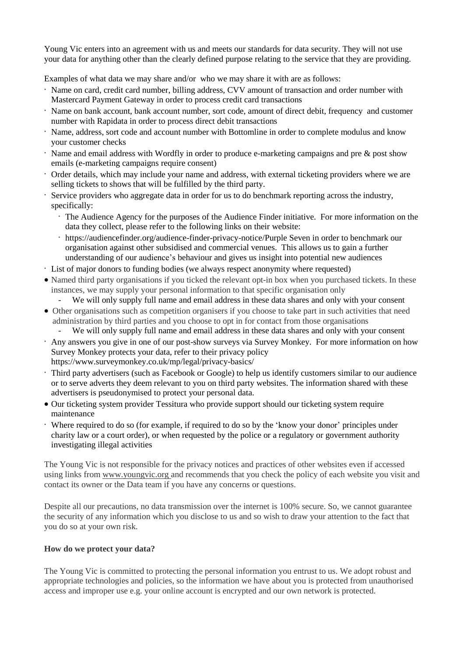Young Vic enters into an agreement with us and meets our standards for data security. They will not use your data for anything other than the clearly defined purpose relating to the service that they are providing.

Examples of what data we may share and/or who we may share it with are as follows:

- · Name on card, credit card number, billing address, CVV amount of transaction and order number with Mastercard Payment Gateway in order to process credit card transactions
- · Name on bank account, bank account number, sort code, amount of direct debit, frequency and customer number with Rapidata in order to process direct debit transactions
- Name, address, sort code and account number with Bottomline in order to complete modulus and know your customer checks
- · Name and email address with Wordfly in order to produce e-marketing campaigns and pre & post show emails (e-marketing campaigns require consent)
- · Order details, which may include your name and address, with external ticketing providers where we are selling tickets to shows that will be fulfilled by the third party.
- · Service providers who aggregate data in order for us to do benchmark reporting across the industry, specifically:
	- · The Audience Agency for the purposes of the Audience Finder initiative. For more information on the data they collect, please refer to the following links on their website:
	- · https://audiencefinder.org/audience-finder-privacy-notice/Purple Seven in order to benchmark our organisation against other subsidised and commercial venues. This allows us to gain a further understanding of our audience's behaviour and gives us insight into potential new audiences
- · List of major donors to funding bodies (we always respect anonymity where requested)
- Named third party organisations if you ticked the relevant opt-in box when you purchased tickets. In these instances, we may supply your personal information to that specific organisation only
	- We will only supply full name and email address in these data shares and only with your consent
- Other organisations such as competition organisers if you choose to take part in such activities that need administration by third parties and you choose to opt in for contact from those organisations
	- We will only supply full name and email address in these data shares and only with your consent
- · Any answers you give in one of our post-show surveys via Survey Monkey. For more information on how Survey Monkey protects your data, refer to their privacy policy https://www.surveymonkey.co.uk/mp/legal/privacy-basics/
- · Third party advertisers (such as Facebook or Google) to help us identify customers similar to our audience or to serve adverts they deem relevant to you on third party websites. The information shared with these advertisers is pseudonymised to protect your personal data.
- Our ticketing system provider Tessitura who provide support should our ticketing system require maintenance
- · Where required to do so (for example, if required to do so by the 'know your donor' principles under charity law or a court order), or when requested by the police or a regulatory or government authority investigating illegal activities

The Young Vic is not responsible for the privacy notices and practices of other websites even if accessed using links from www.youngvic.org and recommends that you check the policy of each website you visit and contact its owner or the Data team if you have any concerns or questions.

Despite all our precautions, no data transmission over the internet is 100% secure. So, we cannot guarantee the security of any information which you disclose to us and so wish to draw your attention to the fact that you do so at your own risk.

# **How do we protect your data?**

The Young Vic is committed to protecting the personal information you entrust to us. We adopt robust and appropriate technologies and policies, so the information we have about you is protected from unauthorised access and improper use e.g. your online account is encrypted and our own network is protected.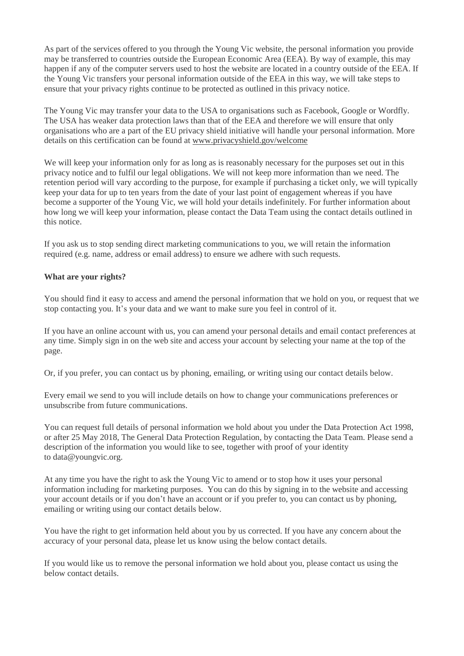As part of the services offered to you through the Young Vic website, the personal information you provide may be transferred to countries outside the European Economic Area (EEA). By way of example, this may happen if any of the computer servers used to host the website are located in a country outside of the EEA. If the Young Vic transfers your personal information outside of the EEA in this way, we will take steps to ensure that your privacy rights continue to be protected as outlined in this privacy notice.

The Young Vic may transfer your data to the USA to organisations such as Facebook, Google or Wordfly. The USA has weaker data protection laws than that of the EEA and therefore we will ensure that only organisations who are a part of the EU privacy shield initiative will handle your personal information. More details on this certification can be found at [www.privacyshield.gov/welcome](https://www.privacyshield.gov/welcome)

We will keep your information only for as long as is reasonably necessary for the purposes set out in this privacy notice and to fulfil our legal obligations. We will not keep more information than we need. The retention period will vary according to the purpose, for example if purchasing a ticket only, we will typically keep your data for up to ten years from the date of your last point of engagement whereas if you have become a supporter of the Young Vic, we will hold your details indefinitely. For further information about how long we will keep your information, please contact the Data Team using the contact details outlined in this notice.

If you ask us to stop sending direct marketing communications to you, we will retain the information required (e.g. name, address or email address) to ensure we adhere with such requests.

## **What are your rights?**

You should find it easy to access and amend the personal information that we hold on you, or request that we stop contacting you. It's your data and we want to make sure you feel in control of it.

If you have an online account with us, you can amend your personal details and email contact preferences at any time. Simply sign in on the web site and access your account by selecting your name at the top of the page.

Or, if you prefer, you can contact us by phoning, emailing, or writing using our contact details below.

Every email we send to you will include details on how to change your communications preferences or unsubscribe from future communications.

You can request full details of personal information we hold about you under the Data Protection Act 1998, or after 25 May 2018, The General Data Protection Regulation, by contacting the Data Team. Please send a description of the information you would like to see, together with proof of your identity to data@youngvic.org.

At any time you have the right to ask the Young Vic to amend or to stop how it uses your personal information including for marketing purposes. You can do this by signing in to the website and accessing your account details or if you don't have an account or if you prefer to, you can contact us by phoning, emailing or writing using our contact details below.

You have the right to get information held about you by us corrected. If you have any concern about the accuracy of your personal data, please let us know using the below contact details.

If you would like us to remove the personal information we hold about you, please contact us using the below contact details.